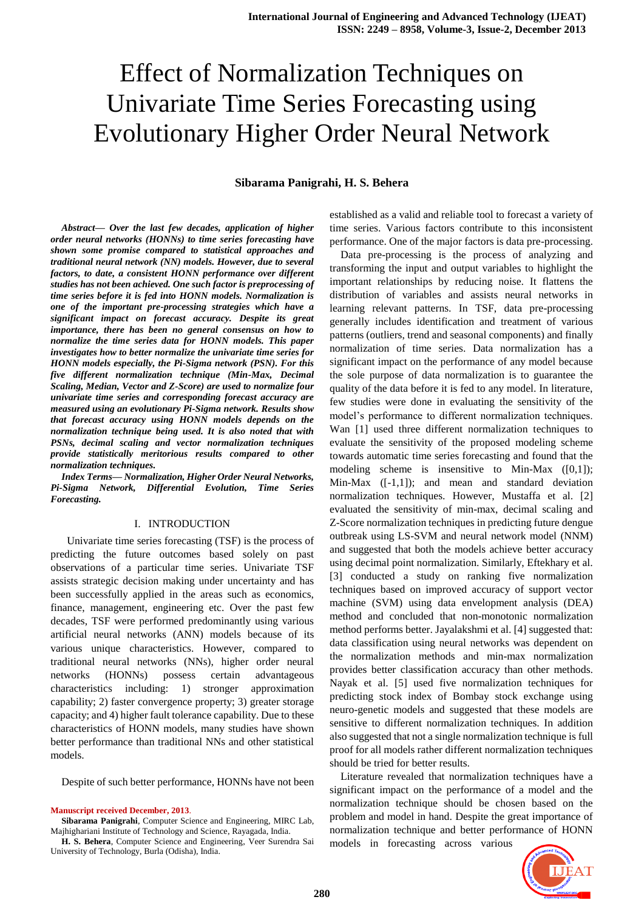# Effect of Normalization Techniques on Univariate Time Series Forecasting using Evolutionary Higher Order Neural Network

# **Sibarama Panigrahi, H. S. Behera**

*Abstract***—** *Over the last few decades, application of higher order neural networks (HONNs) to time series forecasting have shown some promise compared to statistical approaches and traditional neural network (NN) models. However, due to several factors, to date, a consistent HONN performance over different studies has not been achieved. One such factor is preprocessing of time series before it is fed into HONN models. Normalization is one of the important pre-processing strategies which have a significant impact on forecast accuracy. Despite its great importance, there has been no general consensus on how to normalize the time series data for HONN models. This paper investigates how to better normalize the univariate time series for HONN models especially, the Pi-Sigma network (PSN). For this five different normalization technique (Min-Max, Decimal Scaling, Median, Vector and Z-Score) are used to normalize four univariate time series and corresponding forecast accuracy are measured using an evolutionary Pi-Sigma network. Results show that forecast accuracy using HONN models depends on the normalization technique being used. It is also noted that with PSNs, decimal scaling and vector normalization techniques provide statistically meritorious results compared to other normalization techniques.*

*Index Terms***—** *Normalization, Higher Order Neural Networks, Pi-Sigma Network, Differential Evolution, Time Series Forecasting.*

#### I. INTRODUCTION

 Univariate time series forecasting (TSF) is the process of predicting the future outcomes based solely on past observations of a particular time series. Univariate TSF assists strategic decision making under uncertainty and has been successfully applied in the areas such as economics, finance, management, engineering etc. Over the past few decades, TSF were performed predominantly using various artificial neural networks (ANN) models because of its various unique characteristics. However, compared to traditional neural networks (NNs), higher order neural networks (HONNs) possess certain advantageous characteristics including: 1) stronger approximation capability; 2) faster convergence property; 3) greater storage capacity; and 4) higher fault tolerance capability. Due to these characteristics of HONN models, many studies have shown better performance than traditional NNs and other statistical models.

Despite of such better performance, HONNs have not been

**Manuscript received December, 2013**.

**Sibarama Panigrahi**, Computer Science and Engineering, MIRC Lab, Majhighariani Institute of Technology and Science, Rayagada, India.

**H. S. Behera**, Computer Science and Engineering, Veer Surendra Sai University of Technology, Burla (Odisha), India.

established as a valid and reliable tool to forecast a variety of time series. Various factors contribute to this inconsistent performance. One of the major factors is data pre-processing.

Data pre-processing is the process of analyzing and transforming the input and output variables to highlight the important relationships by reducing noise. It flattens the distribution of variables and assists neural networks in learning relevant patterns. In TSF, data pre-processing generally includes identification and treatment of various patterns (outliers, trend and seasonal components) and finally normalization of time series. Data normalization has a significant impact on the performance of any model because the sole purpose of data normalization is to guarantee the quality of the data before it is fed to any model. In literature, few studies were done in evaluating the sensitivity of the model's performance to different normalization techniques. Wan [1] used three different normalization techniques to evaluate the sensitivity of the proposed modeling scheme towards automatic time series forecasting and found that the modeling scheme is insensitive to Min-Max ([0,1]); Min-Max ([-1,1]); and mean and standard deviation normalization techniques. However, Mustaffa et al. [2] evaluated the sensitivity of min-max, decimal scaling and Z-Score normalization techniques in predicting future dengue outbreak using LS-SVM and neural network model (NNM) and suggested that both the models achieve better accuracy using decimal point normalization. Similarly, Eftekhary et al. [3] conducted a study on ranking five normalization techniques based on improved accuracy of support vector machine (SVM) using data envelopment analysis (DEA) method and concluded that non-monotonic normalization method performs better. Jayalakshmi et al. [4] suggested that: data classification using neural networks was dependent on the normalization methods and min-max normalization provides better classification accuracy than other methods. Nayak et al. [5] used five normalization techniques for predicting stock index of Bombay stock exchange using neuro-genetic models and suggested that these models are sensitive to different normalization techniques. In addition also suggested that not a single normalization technique is full proof for all models rather different normalization techniques should be tried for better results.

Literature revealed that normalization techniques have a significant impact on the performance of a model and the normalization technique should be chosen based on the problem and model in hand. Despite the great importance of normalization technique and better performance of HONN models in forecasting across various

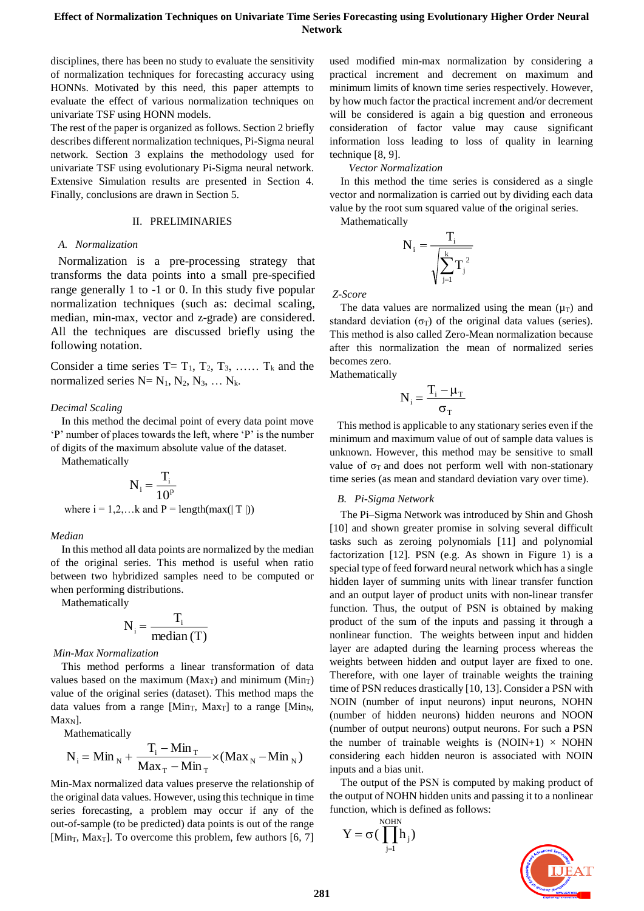disciplines, there has been no study to evaluate the sensitivity of normalization techniques for forecasting accuracy using HONNs. Motivated by this need, this paper attempts to evaluate the effect of various normalization techniques on univariate TSF using HONN models.

The rest of the paper is organized as follows. Section 2 briefly describes different normalization techniques, Pi-Sigma neural network. Section 3 explains the methodology used for univariate TSF using evolutionary Pi-Sigma neural network. Extensive Simulation results are presented in Section 4. Finally, conclusions are drawn in Section 5.

#### II. PRELIMINARIES

# *A. Normalization*

Normalization is a pre-processing strategy that transforms the data points into a small pre-specified range generally 1 to -1 or 0. In this study five popular normalization techniques (such as: decimal scaling, median, min-max, vector and z-grade) are considered. All the techniques are discussed briefly using the following notation.

Consider a time series  $T = T_1, T_2, T_3, \ldots, T_k$  and the normalized series  $N = N_1, N_2, N_3, \ldots N_k$ .

# *Decimal Scaling*

In this method the decimal point of every data point move 'P' number of places towards the left, where 'P' is the number of digits of the maximum absolute value of the dataset.

Mathematically

$$
N_i = \frac{T_i}{10^p}
$$
  
where i = 1,2,... k and P = length(max(|T|))

# *Median*

In this method all data points are normalized by the median of the original series. This method is useful when ratio between two hybridized samples need to be computed or when performing distributions.

Mathematically

$$
N_i = \frac{T_i}{median(T)}
$$

# *Min-Max Normalization*

This method performs a linear transformation of data values based on the maximum ( $Max<sub>T</sub>$ ) and minimum ( $Min<sub>T</sub>$ ) value of the original series (dataset). This method maps the data values from a range [Min<sub>T</sub>, Max<sub>T</sub>] to a range [Min<sub>N</sub>,  $Max_N$ ].

Mathematically

$$
N_{i} = Min_{N} + \frac{T_{i} - Min_{T}}{Max_{T} - Min_{T}} \times (Max_{N} - Min_{N})
$$

Min-Max normalized data values preserve the relationship of the original data values. However, using this technique in time series forecasting, a problem may occur if any of the out-of-sample (to be predicted) data points is out of the range [Min<sub>T</sub>, Max<sub>T</sub>]. To overcome this problem, few authors [6, 7] used modified min-max normalization by considering a practical increment and decrement on maximum and minimum limits of known time series respectively. However, by how much factor the practical increment and/or decrement will be considered is again a big question and erroneous consideration of factor value may cause significant information loss leading to loss of quality in learning technique [8, 9].

*Vector Normalization*

In this method the time series is considered as a single vector and normalization is carried out by dividing each data value by the root sum squared value of the original series.

Mathematically

$$
N_i = \frac{T_i}{\sqrt{\sum_{j=1}^k T_j^{\;2}}}
$$

*Z-Score* 

The data values are normalized using the mean  $(\mu_T)$  and standard deviation ( $\sigma_T$ ) of the original data values (series). This method is also called Zero-Mean normalization because after this normalization the mean of normalized series becomes zero.

Mathematically

$$
N_i = \frac{T_i - \mu_T}{\sigma_T}
$$

This method is applicable to any stationary series even if the minimum and maximum value of out of sample data values is unknown. However, this method may be sensitive to small value of  $\sigma_T$  and does not perform well with non-stationary time series (as mean and standard deviation vary over time).

# *B. Pi-Sigma Network*

The Pi–Sigma Network was introduced by Shin and Ghosh [10] and shown greater promise in solving several difficult tasks such as zeroing polynomials [11] and polynomial factorization [12]. PSN (e.g. As shown in Figure 1) is a special type of feed forward neural network which has a single hidden layer of summing units with linear transfer function and an output layer of product units with non-linear transfer function. Thus, the output of PSN is obtained by making product of the sum of the inputs and passing it through a nonlinear function. The weights between input and hidden layer are adapted during the learning process whereas the weights between hidden and output layer are fixed to one. Therefore, with one layer of trainable weights the training time of PSN reduces drastically [10, 13]. Consider a PSN with NOIN (number of input neurons) input neurons, NOHN (number of hidden neurons) hidden neurons and NOON (number of output neurons) output neurons. For such a PSN the number of trainable weights is  $(NOIN+1) \times NOHN$ considering each hidden neuron is associated with NOIN inputs and a bias unit.

The output of the PSN is computed by making product of the output of NOHN hidden units and passing it to a nonlinear function, which is defined as follows:

$$
Y = \sigma(\prod_{j=1}^{NOHN} h_j)
$$

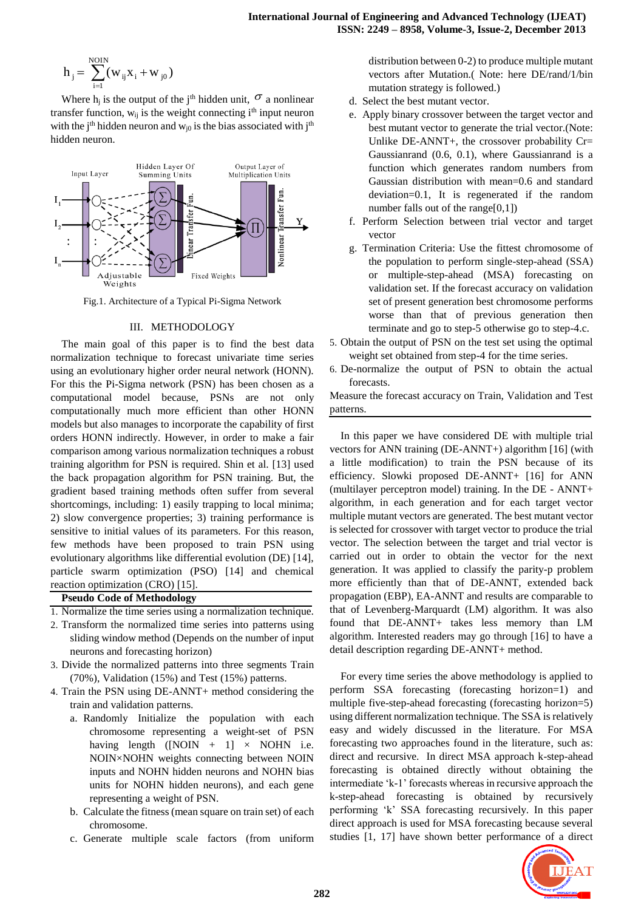$$
\boldsymbol{h}_j = \sum_{i=1}^{N OIN} (\boldsymbol{w}_{ij} \boldsymbol{x}_i + \boldsymbol{w}_{j0})
$$

Where h<sub>j</sub> is the output of the j<sup>th</sup> hidden unit,  $\sigma$  a nonlinear transfer function,  $w_{ij}$  is the weight connecting  $i<sup>th</sup>$  input neuron with the j<sup>th</sup> hidden neuron and  $w_{i0}$  is the bias associated with j<sup>th</sup> hidden neuron.



Fig.1. Architecture of a Typical Pi-Sigma Network

# III. METHODOLOGY

The main goal of this paper is to find the best data normalization technique to forecast univariate time series using an evolutionary higher order neural network (HONN). For this the Pi-Sigma network (PSN) has been chosen as a computational model because, PSNs are not only computationally much more efficient than other HONN models but also manages to incorporate the capability of first orders HONN indirectly. However, in order to make a fair comparison among various normalization techniques a robust training algorithm for PSN is required. Shin et al. [13] used the back propagation algorithm for PSN training. But, the gradient based training methods often suffer from several shortcomings, including: 1) easily trapping to local minima; 2) slow convergence properties; 3) training performance is sensitive to initial values of its parameters. For this reason, few methods have been proposed to train PSN using evolutionary algorithms like differential evolution (DE) [14], particle swarm optimization (PSO) [14] and chemical reaction optimization (CRO) [15].

**Pseudo Code of Methodology** 

- 1. Normalize the time series using a normalization technique.
- 2. Transform the normalized time series into patterns using sliding window method (Depends on the number of input neurons and forecasting horizon)
- 3. Divide the normalized patterns into three segments Train (70%), Validation (15%) and Test (15%) patterns.
- 4. Train the PSN using DE-ANNT+ method considering the train and validation patterns.
	- a. Randomly Initialize the population with each chromosome representing a weight-set of PSN having length ([NOIN + 1]  $\times$  NOHN i.e. NOIN×NOHN weights connecting between NOIN inputs and NOHN hidden neurons and NOHN bias units for NOHN hidden neurons), and each gene representing a weight of PSN.
	- b. Calculate the fitness (mean square on train set) of each chromosome.
	- c. Generate multiple scale factors (from uniform

distribution between 0-2) to produce multiple mutant vectors after Mutation.( Note: here DE/rand/1/bin mutation strategy is followed.)

- d. Select the best mutant vector.
- e. Apply binary crossover between the target vector and best mutant vector to generate the trial vector.(Note: Unlike DE-ANNT+, the crossover probability Cr= Gaussianrand (0.6, 0.1), where Gaussianrand is a function which generates random numbers from Gaussian distribution with mean=0.6 and standard deviation=0.1, It is regenerated if the random number falls out of the range $[0,1]$ )
- f. Perform Selection between trial vector and target vector
- g. Termination Criteria: Use the fittest chromosome of the population to perform single-step-ahead (SSA) or multiple-step-ahead (MSA) forecasting on validation set. If the forecast accuracy on validation set of present generation best chromosome performs worse than that of previous generation then terminate and go to step-5 otherwise go to step-4.c.
- 5. Obtain the output of PSN on the test set using the optimal weight set obtained from step-4 for the time series.
- 6. De-normalize the output of PSN to obtain the actual forecasts.

Measure the forecast accuracy on Train, Validation and Test patterns.

In this paper we have considered DE with multiple trial vectors for ANN training (DE-ANNT+) algorithm [16] (with a little modification) to train the PSN because of its efficiency. Slowki proposed DE-ANNT+ [16] for ANN (multilayer perceptron model) training. In the DE - ANNT+ algorithm, in each generation and for each target vector multiple mutant vectors are generated. The best mutant vector is selected for crossover with target vector to produce the trial vector. The selection between the target and trial vector is carried out in order to obtain the vector for the next generation. It was applied to classify the parity-p problem more efficiently than that of DE-ANNT, extended back propagation (EBP), EA-ANNT and results are comparable to that of Levenberg-Marquardt (LM) algorithm. It was also found that DE-ANNT+ takes less memory than LM algorithm. Interested readers may go through [16] to have a detail description regarding DE-ANNT+ method.

For every time series the above methodology is applied to perform SSA forecasting (forecasting horizon=1) and multiple five-step-ahead forecasting (forecasting horizon=5) using different normalization technique. The SSA is relatively easy and widely discussed in the literature. For MSA forecasting two approaches found in the literature, such as: direct and recursive. In direct MSA approach k-step-ahead forecasting is obtained directly without obtaining the intermediate 'k-1' forecasts whereas in recursive approach the k-step-ahead forecasting is obtained by recursively performing 'k' SSA forecasting recursively. In this paper direct approach is used for MSA forecasting because several studies [1, 17] have shown better performance of a direct

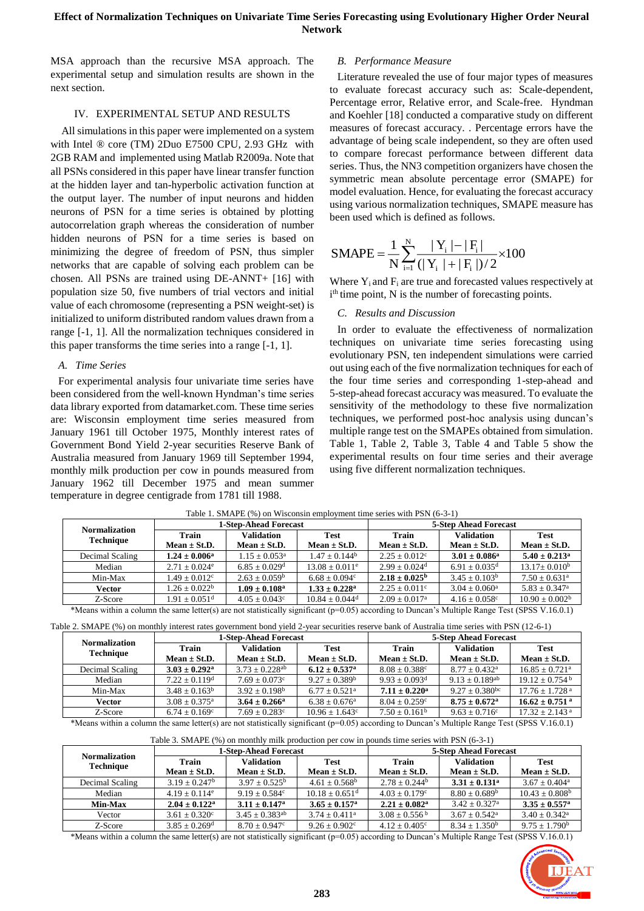MSA approach than the recursive MSA approach. The experimental setup and simulation results are shown in the next section.

# IV. EXPERIMENTAL SETUP AND RESULTS

All simulations in this paper were implemented on a system with Intel ® core (TM) 2Duo E7500 CPU, 2.93 GHz with 2GB RAM and implemented using Matlab R2009a. Note that all PSNs considered in this paper have linear transfer function at the hidden layer and tan-hyperbolic activation function at the output layer. The number of input neurons and hidden neurons of PSN for a time series is obtained by plotting autocorrelation graph whereas the consideration of number hidden neurons of PSN for a time series is based on minimizing the degree of freedom of PSN, thus simpler networks that are capable of solving each problem can be chosen. All PSNs are trained using DE-ANNT+ [16] with population size 50, five numbers of trial vectors and initial value of each chromosome (representing a PSN weight-set) is initialized to uniform distributed random values drawn from a range [-1, 1]. All the normalization techniques considered in this paper transforms the time series into a range [-1, 1].

# *A. Time Series*

For experimental analysis four univariate time series have been considered from the well-known Hyndman's time series data library exported from datamarket.com. These time series are: Wisconsin employment time series measured from January 1961 till October 1975, Monthly interest rates of Government Bond Yield 2-year securities Reserve Bank of Australia measured from January 1969 till September 1994, monthly milk production per cow in pounds measured from January 1962 till December 1975 and mean summer temperature in degree centigrade from 1781 till 1988.

# *B. Performance Measure*

Literature revealed the use of four major types of measures to evaluate forecast accuracy such as: Scale-dependent, Percentage error, Relative error, and Scale-free. Hyndman and Koehler [18] conducted a comparative study on different measures of forecast accuracy. . Percentage errors have the advantage of being scale independent, so they are often used to compare forecast performance between different data series. Thus, the NN3 competition organizers have chosen the symmetric mean absolute percentage error (SMAPE) for model evaluation. Hence, for evaluating the forecast accuracy using various normalization techniques, SMAPE measure has been used which is defined as follows.

$$
SMAPE = \frac{1}{N} \sum_{i=1}^{N} \frac{|Y_i| - |F_i|}{(|Y_i| + |F_i|)/2} \times 100
$$

Where  $Y_i$  and  $F_i$  are true and forecasted values respectively at i<sup>th</sup> time point, N is the number of forecasting points.

#### *C. Results and Discussion*

In order to evaluate the effectiveness of normalization techniques on univariate time series forecasting using evolutionary PSN, ten independent simulations were carried out using each of the five normalization techniques for each of the four time series and corresponding 1-step-ahead and 5-step-ahead forecast accuracy was measured. To evaluate the sensitivity of the methodology to these five normalization techniques, we performed post-hoc analysis using duncan's multiple range test on the SMAPEs obtained from simulation. Table 1, Table 2, Table 3, Table 4 and Table 5 show the experimental results on four time series and their average using five different normalization techniques.

| <b>Normalization</b><br><b>Technique</b>                                                                                                       | <b>1-Step-Ahead Forecast</b>  |                               |                                | <b>5-Step Ahead Forecast</b> |                               |                               |  |
|------------------------------------------------------------------------------------------------------------------------------------------------|-------------------------------|-------------------------------|--------------------------------|------------------------------|-------------------------------|-------------------------------|--|
|                                                                                                                                                | Train                         | <b>Validation</b>             | <b>Test</b>                    | Train                        | <b>Validation</b>             | Test                          |  |
|                                                                                                                                                | Mean $\pm$ St.D.              | Mean $\pm$ St.D.              | Mean $\pm$ St.D.               | Mean $\pm$ St.D.             | Mean $\pm$ St.D.              | Mean $\pm$ St.D.              |  |
| Decimal Scaling                                                                                                                                | $1.24 \pm 0.006^{\rm a}$      | $1.15 \pm 0.053$ <sup>a</sup> | $1.47 \pm 0.144^b$             | $2.25 \pm 0.012$ °           | $3.01 \pm 0.086^a$            | $5.40 \pm 0.213$ <sup>a</sup> |  |
| Median                                                                                                                                         | $2.71 + 0.024$ <sup>e</sup>   | $6.85 + 0.029$ <sup>d</sup>   | $13.08 + 0.011$ <sup>e</sup>   | $2.99 + 0.024$ <sup>d</sup>  | $6.91 \pm 0.035$ <sup>d</sup> | $13.17 \pm 0.010^b$           |  |
| Min-Max                                                                                                                                        | $1.49 \pm 0.012$ <sup>c</sup> | $2.63 \pm 0.059^{\rm b}$      | $6.68 + 0.094c$                | $2.18 \pm 0.025^{\rm b}$     | $3.45 \pm 0.103^b$            | $7.50 \pm 0.631$ <sup>a</sup> |  |
| Vector                                                                                                                                         | $1.26 + 0.022^b$              | $1.09 \pm 0.108^a$            | $1.33 \pm 0.228^{\rm a}$       | $2.25 \pm 0.011$ °           | $3.04 + 0.060^{\circ}$        | $5.83 + 0.347$ <sup>a</sup>   |  |
| Z-Score                                                                                                                                        | $1.91 \pm 0.051$ <sup>d</sup> | $4.05 \pm 0.043$ <sup>c</sup> | $10.84 \pm 0.044$ <sup>d</sup> | $2.09 \pm 0.017^{\rm a}$     | $4.16 \pm 0.058$ <sup>c</sup> | $10.90 \pm 0.002^b$           |  |
| *Means within a column the same letter(s) are not statistically significant (p=0.05) according to Duncan's Multiple Range Test (SPSS V.16.0.1) |                               |                               |                                |                              |                               |                               |  |

Table 1. SMAPE (%) on Wisconsin employment time series with PSN (6-3-1)

Table 2. SMAPE (%) on monthly interest rates government bond yield 2-year securities reserve bank of Australia time series with PSN (12-6-1)

| <b>Normalization</b><br><b>Technique</b>                                                                                                                                     | <b>1-Step-Ahead Forecast</b>  |                               |                               | <b>5-Step Ahead Forecast</b> |                                |                                |
|------------------------------------------------------------------------------------------------------------------------------------------------------------------------------|-------------------------------|-------------------------------|-------------------------------|------------------------------|--------------------------------|--------------------------------|
|                                                                                                                                                                              | Train                         | <b>Validation</b>             | <b>Test</b>                   | Train                        | <b>Validation</b>              | Test                           |
|                                                                                                                                                                              | Mean $\pm$ St.D.              | Mean $\pm$ St.D.              | Mean $\pm$ St.D.              | Mean $\pm$ St.D.             | Mean $\pm$ St.D.               | Mean $\pm$ St.D.               |
| Decimal Scaling                                                                                                                                                              | $3.03 \pm 0.292^{\rm a}$      | $3.73 + 0.228$ <sup>ab</sup>  | $6.12 \pm 0.537$ <sup>a</sup> | $8.08 + 0.388$ <sup>c</sup>  | $8.77 \pm 0.432^{\rm a}$       | $16.85 \pm 0.721$ <sup>a</sup> |
| Median                                                                                                                                                                       | $7.22 + 0.119d$               | $7.69 + 0.073$ °              | $9.27 + 0.389^b$              | $9.93 + 0.093^d$             | $9.13 + 0.189$ <sup>ab</sup>   | $19.12 + 0.754$ <sup>b</sup>   |
| Min-Max                                                                                                                                                                      | $3.48 \pm 0.163^b$            | $3.92 + 0.198^b$              | $6.77 + 0.521$ <sup>a</sup>   | $7.11 \pm 0.220^{\rm a}$     | $9.27 \pm 0.380$ <sup>bc</sup> | $17.76 + 1.728$ <sup>a</sup>   |
| Vector                                                                                                                                                                       | $3.08 \pm 0.375$ <sup>a</sup> | $3.64 \pm 0.266^{\rm a}$      | $6.38 \pm 0.676$ <sup>a</sup> | $8.04 + 0.259$               | $8.75 \pm 0.672^{\rm a}$       | $16.62 \pm 0.751$ <sup>a</sup> |
| Z-Score                                                                                                                                                                      | $6.74 \pm 0.169$ <sup>c</sup> | $7.69 \pm 0.283$ <sup>c</sup> | $10.96 \pm 1.643$ °           | $7.50 + 0.161^b$             | $9.63 \pm 0.716$ <sup>c</sup>  | $17.32 \pm 2.143$ <sup>a</sup> |
| $\cdots$<br>$\sim$ 0.00<br>.<br>$\sim$<br><b>JAN 5</b><br>1.1.1.1.1.1.1.1<br>(0.0000373703)<br>$\mathbf{1}$ $\mathbf{1}$<br>$\mathbf{r}$ $\mathbf{r}$<br>$\sim$ 1.000 $\sim$ |                               |                               |                               |                              |                                |                                |

\*Means within a column the same letter(s) are not statistically significant (p=0.05) according to Duncan's Multiple Range Test (SPSS V.16.0.1)

| Table 3. SMAPE (%) on monthly milk production per cow in pounds time series with PSN (6-3-1) |                               |                              |                              |                              |                               |                               |  |
|----------------------------------------------------------------------------------------------|-------------------------------|------------------------------|------------------------------|------------------------------|-------------------------------|-------------------------------|--|
| <b>Normalization</b><br><b>Technique</b>                                                     | <b>1-Step-Ahead Forecast</b>  |                              |                              | <b>5-Step Ahead Forecast</b> |                               |                               |  |
|                                                                                              | Train                         | <b>Validation</b>            | Test                         | Train                        | <b>Validation</b>             | <b>Test</b>                   |  |
|                                                                                              | Mean $\pm$ St.D.              | Mean $\pm$ St.D.             | Mean $\pm$ St.D.             | Mean $\pm$ St.D.             | Mean $\pm$ St.D.              | Mean $\pm$ St.D.              |  |
| Decimal Scaling                                                                              | $3.19 + 0.247^b$              | $3.97 + 0.525^{\circ}$       | $4.61 + 0.568^{\circ}$       | $2.78 + 0.244^b$             | $3.31 \pm 0.131$ <sup>a</sup> | $3.67 \pm 0.404^a$            |  |
| Median                                                                                       | $4.19 + 0.114$ <sup>e</sup>   | $9.19 + 0.584c$              | $10.18 + 0.651$ <sup>d</sup> | $4.03 + 0.179c$              | $8.80 + 0.689$                | $10.43 + 0.808b$              |  |
| Min-Max                                                                                      | $2.04 \pm 0.122^{\rm a}$      | $3.11 \pm 0.147^{\rm a}$     | $3.65 \pm 0.157^{\rm a}$     | $2.21 \pm 0.082^{\rm a}$     | $3.42 + 0.327$ <sup>a</sup>   | $3.35 \pm 0.557$ <sup>a</sup> |  |
| Vector                                                                                       | $3.61 \pm 0.320$ °            | $3.45 + 0.383$ <sup>ab</sup> | $3.74 + 0.411^a$             | $3.08 + 0.556$               | $3.67 + 0.542^a$              | $3.40 + 0.342^a$              |  |
| Z-Score                                                                                      | $3.85 \pm 0.269$ <sup>d</sup> | $8.70 + 0.947$               | $9.26 + 0.902^c$             | $4.12 + 0.405^{\circ}$       | $8.34 + 1.350^b$              | $9.75 \pm 1.790^b$            |  |

\*Means within a column the same letter(s) are not statistically significant (p=0.05) according to Duncan's Multiple Range Test (SPSS V.16.0.1)

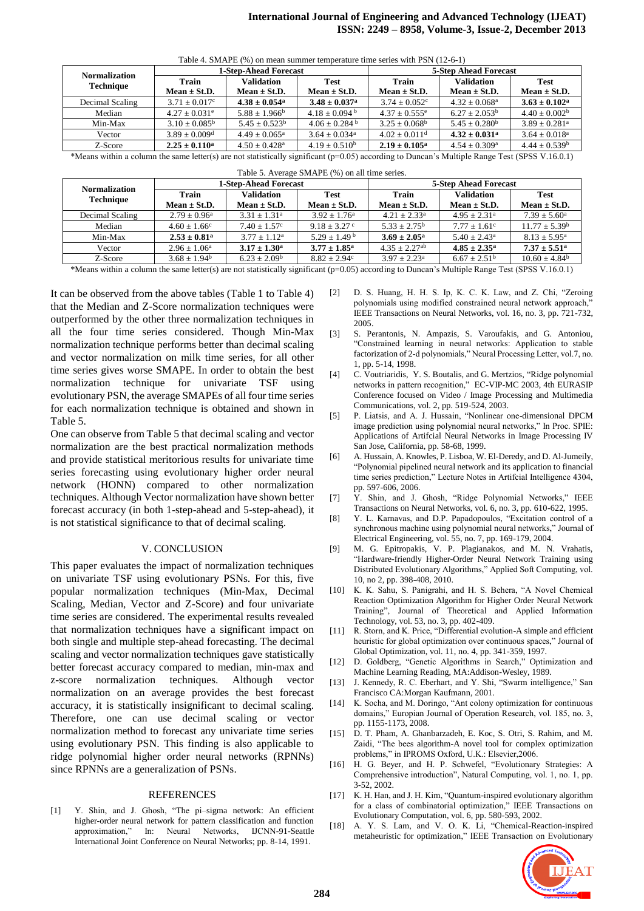| <b>Normalization</b><br><b>Technique</b>                                                                                                         | <b>1-Step-Ahead Forecast</b> |                               |                               | <b>5-Step Ahead Forecast</b> |                               |                             |
|--------------------------------------------------------------------------------------------------------------------------------------------------|------------------------------|-------------------------------|-------------------------------|------------------------------|-------------------------------|-----------------------------|
|                                                                                                                                                  | Train                        | Validation                    | <b>Test</b>                   | Train                        | <b>Validation</b>             | <b>Test</b>                 |
|                                                                                                                                                  | Mean $\pm$ St.D.             | $Mean \pm St.D.$              | Mean $\pm$ St.D.              | Mean $\pm$ St.D.             | Mean $\pm$ St.D.              | Mean $\pm$ St.D.            |
| Decimal Scaling                                                                                                                                  | $3.71 + 0.017$ °             | $4.38 \pm 0.054$ <sup>a</sup> | $3.48 \pm 0.037$ <sup>a</sup> | $3.74 + 0.052$               | $4.32 + 0.068^a$              | $3.63 \pm 0.102^{\rm a}$    |
| Median                                                                                                                                           | $4.27 + 0.031$ <sup>e</sup>  | $5.88 + 1.966^b$              | $4.18 + 0.094$                | $4.37 + 0.555$ <sup>e</sup>  | $6.27 + 2.053b$               | $4.40 + 0.002b$             |
| Min-Max                                                                                                                                          | $3.10 + 0.085^b$             | $5.45 + 0.523^b$              | $4.06 + 0.284$ <sup>b</sup>   | $3.25 + 0.068^b$             | $5.45 + 0.280^b$              | $3.89 + 0.281$ <sup>a</sup> |
| Vector                                                                                                                                           | $3.89 + 0.009$ <sup>d</sup>  | $4.49 + 0.065^{\text{a}}$     | $3.64 \pm 0.034$ <sup>a</sup> | $4.02 + 0.011d$              | $4.32 \pm 0.031$ <sup>a</sup> | $3.64 \pm 0.018^a$          |
| Z-Score                                                                                                                                          | $2.25 \pm 0.110^a$           | $4.50 + 0.428$ <sup>a</sup>   | $4.19 + 0.510^b$              | $2.19 \pm 0.105^{\rm a}$     | $4.54 + 0.309^{\circ}$        | $4.44 + 0.539^b$            |
| 1.1.1<br>$\alpha$ and $\alpha$ is the set of $\alpha$<br>CITY 1<br>. <del>.</del><br><b>JAN F</b><br>$\mathbf{r}$ $\mathbf{r}$<br>$-1$ $-1$ $+1$ |                              |                               |                               |                              |                               |                             |

Table 4. SMAPE (%) on mean summer temperature time series with PSN (12-6-1)

\*Means within a column the same letter(s) are not statistically significant (p=0.05) according to Duncan's Multiple Range Test (SPSS V.16.0.1)

| Table 5. Average SMAPE (%) on all time series. |                              |                   |                            |                              |                            |                         |
|------------------------------------------------|------------------------------|-------------------|----------------------------|------------------------------|----------------------------|-------------------------|
| <b>Normalization</b><br><b>Technique</b>       | <b>1-Step-Ahead Forecast</b> |                   |                            | <b>5-Step Ahead Forecast</b> |                            |                         |
|                                                | Train                        | <b>Validation</b> | <b>Test</b>                | Train                        | <b>Validation</b>          | <b>Test</b>             |
|                                                | Mean $\pm$ St.D.             | Mean $\pm$ St.D.  | Mean $\pm$ St.D.           | Mean $\pm$ St.D.             | Mean $\pm$ St.D.           | Mean $\pm$ St.D.        |
| Decimal Scaling                                | $2.79 \pm 0.96^{\rm a}$      | $3.31 \pm 1.31^a$ | $3.92 \pm 1.76^{\circ}$    | $4.21 + 2.33^a$              | $4.95 + 2.31^a$            | $7.39 + 5.60^{\circ}$   |
| Median                                         | $4.60 \pm 1.66^{\circ}$      | $7.40 + 1.57$ °   | $9.18 + 3.27$              | $5.33 + 2.75^b$              | $7.77 + 1.61$ <sup>c</sup> | $11.77 + 5.39b$         |
| Min-Max                                        | $2.53 \pm 0.81^{\rm a}$      | $3.77 + 1.12^a$   | $5.29 + 1.49$ <sup>b</sup> | $3.69 \pm 2.05^{\rm a}$      | $5.40 + 2.43^a$            | $8.13 + 5.95^{\rm a}$   |
| Vector                                         | $2.96 \pm 1.06^{\circ}$      | $3.17 \pm 1.30^a$ | $3.77 \pm 1.85^{\rm a}$    | $4.35 + 2.27$ <sup>ab</sup>  | $4.85 \pm 2.35^{\rm a}$    | $7.37 \pm 5.51^{\circ}$ |
| Z-Score                                        | $3.68 \pm 1.94^b$            | $6.23 + 2.09^b$   | $8.82 + 2.94^{\circ}$      | $3.97 + 2.23^a$              | $6.67 \pm 2.51^{\rm b}$    | $10.60 \pm 4.84^b$      |

\*Means within a column the same letter(s) are not statistically significant (p=0.05) according to Duncan's Multiple Range Test (SPSS V.16.0.1)

It can be observed from the above tables (Table 1 to Table 4) that the Median and Z-Score normalization techniques were outperformed by the other three normalization techniques in all the four time series considered. Though Min-Max normalization technique performs better than decimal scaling and vector normalization on milk time series, for all other time series gives worse SMAPE. In order to obtain the best normalization technique for univariate TSF using evolutionary PSN, the average SMAPEs of all four time series for each normalization technique is obtained and shown in Table 5.

One can observe from Table 5 that decimal scaling and vector normalization are the best practical normalization methods and provide statistical meritorious results for univariate time series forecasting using evolutionary higher order neural network (HONN) compared to other normalization techniques. Although Vector normalization have shown better forecast accuracy (in both 1-step-ahead and 5-step-ahead), it is not statistical significance to that of decimal scaling.

#### V. CONCLUSION

This paper evaluates the impact of normalization techniques on univariate TSF using evolutionary PSNs. For this, five popular normalization techniques (Min-Max, Decimal Scaling, Median, Vector and Z-Score) and four univariate time series are considered. The experimental results revealed that normalization techniques have a significant impact on both single and multiple step-ahead forecasting. The decimal scaling and vector normalization techniques gave statistically better forecast accuracy compared to median, min-max and z-score normalization techniques. Although vector normalization on an average provides the best forecast accuracy, it is statistically insignificant to decimal scaling. Therefore, one can use decimal scaling or vector normalization method to forecast any univariate time series using evolutionary PSN. This finding is also applicable to ridge polynomial higher order neural networks (RPNNs) since RPNNs are a generalization of PSNs.

#### REFERENCES

[1] Y. Shin, and J. Ghosh, "The pi–sigma network: An efficient higher-order neural network for pattern classification and function approximation," In: Neural Networks, IJCNN-91-Seattle International Joint Conference on Neural Networks; pp. 8-14, 1991.

- [2] D. S. Huang, H. H. S. Ip, K. C. K. Law, and Z. Chi, "Zeroing polynomials using modified constrained neural network approach, IEEE Transactions on Neural Networks, vol. 16, no. 3, pp. 721-732, 2005.
- [3] S. Perantonis, N. Ampazis, S. Varoufakis, and G. Antoniou, "Constrained learning in neural networks: Application to stable factorization of 2-d polynomials," Neural Processing Letter, vol.7, no. 1, pp. 5-14, 1998.
- [4] C. Voutriaridis, Y. S. Boutalis, and G. Mertzios, "Ridge polynomial networks in pattern recognition," EC-VIP-MC 2003, 4th EURASIP Conference focused on Video / Image Processing and Multimedia Communications, vol. 2, pp. 519-524, 2003.
- [5] P. Liatsis, and A. J. Hussain, "Nonlinear one-dimensional DPCM image prediction using polynomial neural networks," In Proc. SPIE: Applications of Artifcial Neural Networks in Image Processing IV San Jose, California, pp. 58-68, 1999.
- [6] A. Hussain, A. Knowles, P. Lisboa, W. El-Deredy, and D. Al-Jumeily, "Polynomial pipelined neural network and its application to financial time series prediction," Lecture Notes in Artifcial Intelligence 4304, pp. 597-606, 2006.
- [7] Y. Shin, and J. Ghosh, "Ridge Polynomial Networks," IEEE Transactions on Neural Networks, vol. 6, no. 3, pp. 610-622, 1995.
- [8] Y. L. Karnavas, and D.P. Papadopoulos, "Excitation control of a synchronous machine using polynomial neural networks," Journal of Electrical Engineering, vol. 55, no. 7, pp. 169-179, 2004.
- [9] M. G. Epitropakis, V. P. Plagianakos, and M. N. Vrahatis, "Hardware-friendly Higher-Order Neural Network Training using Distributed Evolutionary Algorithms," Applied Soft Computing, vol. 10, no 2, pp. 398-408, 2010.
- [10] K. K. Sahu, S. Panigrahi, and H. S. Behera, "A Novel Chemical Reaction Optimization Algorithm for Higher Order Neural Network Training", Journal of Theoretical and Applied Information Technology, vol. 53, no. 3, pp. 402-409.
- [11] R. Storn, and K. Price, "Differential evolution-A simple and efficient heuristic for global optimization over continuous spaces," Journal of Global Optimization, vol. 11, no. 4, pp. 341-359, 1997.
- [12] D. Goldberg, "Genetic Algorithms in Search," Optimization and Machine Learning Reading, MA:Addison-Wesley, 1989.
- J. Kennedy, R. C. Eberhart, and Y. Shi, "Swarm intelligence," San Francisco CA:Morgan Kaufmann, 2001.
- [14] K. Socha, and M. Doringo, "Ant colony optimization for continuous domains," Europian Journal of Operation Research, vol. 185, no. 3, pp. 1155-1173, 2008.
- [15] D. T. Pham, A. Ghanbarzadeh, E. Koc, S. Otri, S. Rahim, and M. Zaidi, "The bees algorithm-A novel tool for complex optimization problems," in IPROMS Oxford, U.K.: Elsevier,2006.
- [16] H. G. Beyer, and H. P. Schwefel, "Evolutionary Strategies: A Comprehensive introduction", Natural Computing, vol. 1, no. 1, pp. 3-52, 2002.
- [17] K. H. Han, and J. H. Kim, "Quantum-inspired evolutionary algorithm for a class of combinatorial optimization," IEEE Transactions on Evolutionary Computation, vol. 6, pp. 580-593, 2002.
- [18] A. Y. S. Lam, and V. O. K. Li, "Chemical-Reaction-inspired metaheuristic for optimization," IEEE Transaction on Evolutionary